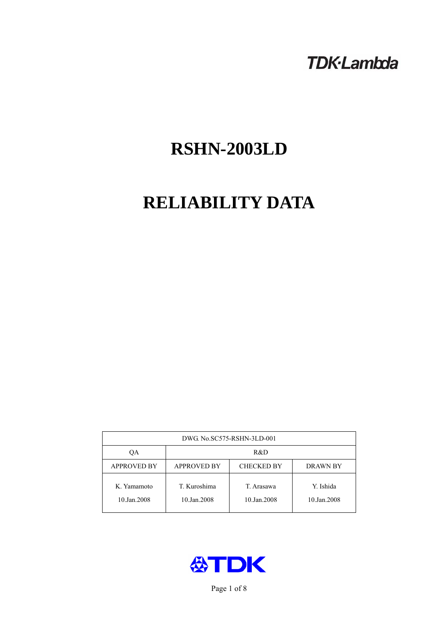# **TDK-Lambda**

# **RSHN-2003LD**

# **RELIABILITY DATA**

| DWG. No.SC575-RSHN-3LD-001 |                                                     |                           |                          |  |  |
|----------------------------|-----------------------------------------------------|---------------------------|--------------------------|--|--|
| ОA                         | R&D                                                 |                           |                          |  |  |
| <b>APPROVED BY</b>         | <b>APPROVED BY</b><br><b>CHECKED BY</b><br>DRAWN BY |                           |                          |  |  |
| K. Yamamoto<br>10.Jan.2008 | T. Kuroshima<br>10.Jan.2008                         | T. Arasawa<br>10.Jan.2008 | Y. Ishida<br>10.Jan.2008 |  |  |



Page 1 of 8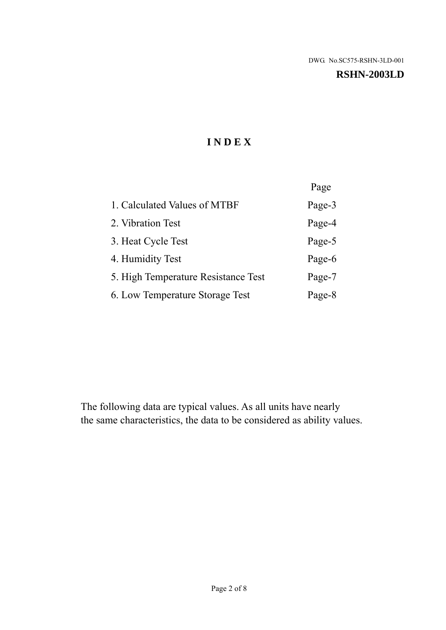#### **RSHN-2003LD**

# **I N D E X**

|                                     | Page   |
|-------------------------------------|--------|
| 1. Calculated Values of MTBF        | Page-3 |
| 2. Vibration Test                   | Page-4 |
| 3. Heat Cycle Test                  | Page-5 |
| 4. Humidity Test                    | Page-6 |
| 5. High Temperature Resistance Test | Page-7 |
| 6. Low Temperature Storage Test     | Page-8 |

The following data are typical values. As all units have nearly the same characteristics, the data to be considered as ability values.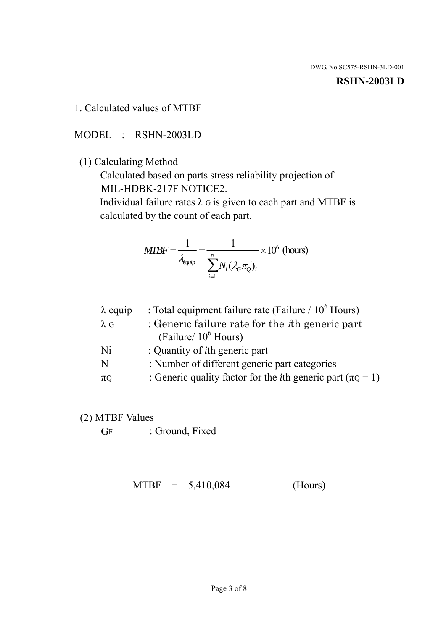#### **RSHN-2003LD**

#### 1. Calculated values of MTBF

MODEL : RSHN-2003LD

(1) Calculating Method

 Calculated based on parts stress reliability projection of MIL-HDBK-217F NOTICE2.

Individual failure rates  $\lambda$  G is given to each part and MTBF is calculated by the count of each part.

$$
MTBF = \frac{1}{\lambda_{\text{equip}}} = \frac{1}{\sum_{i=1}^{n} N_i (\lambda_G \pi_Q)_i} \times 10^6 \text{ (hours)}
$$

| : Total equipment failure rate (Failure / $10^6$ Hours)                   |
|---------------------------------------------------------------------------|
| : Generic failure rate for the $\hbar$ generic part                       |
| (Failure/ $10^6$ Hours)                                                   |
| : Quantity of <i>i</i> th generic part                                    |
| : Number of different generic part categories                             |
| : Generic quality factor for the <i>i</i> th generic part ( $\pi Q = 1$ ) |
|                                                                           |

- (2) MTBF Values
	- GF : Ground, Fixed

 $MTBF = 5,410,084$  (Hours)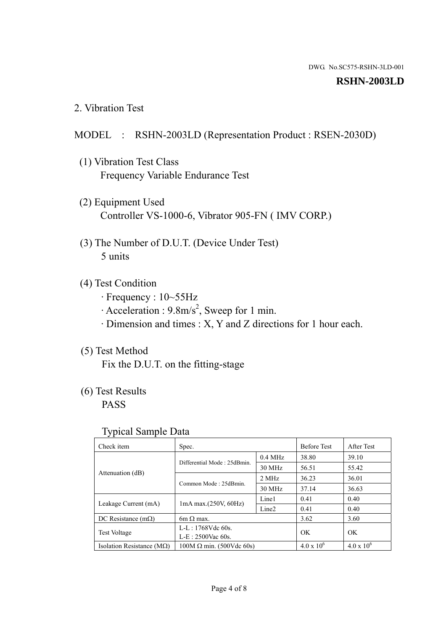#### **RSHN-2003LD**

2. Vibration Test

## MODEL : RSHN-2003LD (Representation Product : RSEN-2030D)

- (1) Vibration Test Class Frequency Variable Endurance Test
- (2) Equipment Used Controller VS-1000-6, Vibrator 905-FN ( IMV CORP.)
- (3) The Number of D.U.T. (Device Under Test) 5 units
- (4) Test Condition
	- · Frequency : 10~55Hz
	- $\cdot$  Acceleration : 9.8m/s<sup>2</sup>, Sweep for 1 min.
	- · Dimension and times : X, Y and Z directions for 1 hour each.

# (5) Test Method

Fix the D.U.T. on the fitting-stage

# (6) Test Results

PASS

#### Typical Sample Data

| . .                           |                                                         |           |                     |                     |
|-------------------------------|---------------------------------------------------------|-----------|---------------------|---------------------|
| Check item                    | Spec.                                                   |           | <b>Before Test</b>  | After Test          |
| Attenuation (dB)              | Differential Mode: 25dBmin.                             | $0.4$ MHz | 38.80               | 39.10               |
|                               |                                                         | 30 MHz    | 56.51               | 55.42               |
|                               | Common Mode: 25dBmin.                                   | 2 MHz     | 36.23               | 36.01               |
|                               |                                                         | 30 MHz    | 37.14               | 36.63               |
| Leakage Current (mA)          | Line1<br>$1mA$ max. $(250V, 60Hz)$<br>Line <sub>2</sub> |           | 0.41                | 0.40                |
|                               |                                                         |           | 0.41                | 0.40                |
| DC Resistance $(m\Omega)$     | $6m \Omega$ max.                                        |           | 3.62                | 3.60                |
| <b>Test Voltage</b>           | $L-L: 1768Vdc$ 60s.                                     |           | OK                  | OK.                 |
|                               | $L-E$ : 2500Vac 60s.                                    |           |                     |                     |
| Isolation Resistance ( $MQ$ ) | $100M \Omega$ min. (500Vdc 60s)                         |           | $4.0 \times 10^{6}$ | $4.0 \times 10^{6}$ |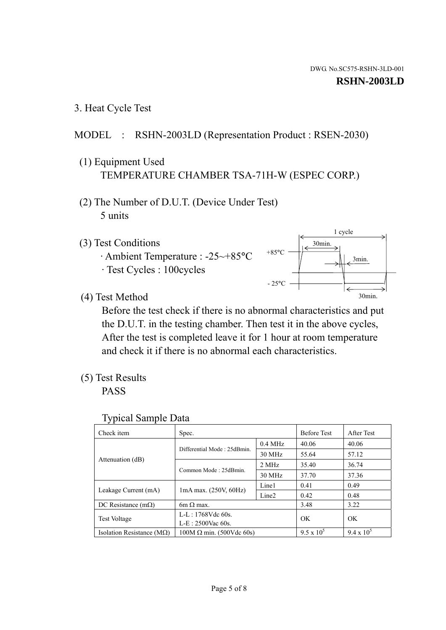1 cycle

30min.

3min.

30min.

3. Heat Cycle Test

# MODEL : RSHN-2003LD (Representation Product : RSEN-2030)

- (1) Equipment Used TEMPERATURE CHAMBER TSA-71H-W (ESPEC CORP.)
- (2) The Number of D.U.T. (Device Under Test) 5 units
- (3) Test Conditions
	- · Ambient Temperature : -25~+85°C · Test Cycles : 100cycles
- (4) Test Method

 Before the test check if there is no abnormal characteristics and put the D.U.T. in the testing chamber. Then test it in the above cycles, After the test is completed leave it for 1 hour at room temperature and check it if there is no abnormal each characteristics.

 $+85$ °C

 $-25$ °C

(5) Test Results

PASS

| <b>Typical Sample Data</b> |  |
|----------------------------|--|
|                            |  |

| Check item                         | Spec.                           |                   | <b>Before Test</b> | After Test        |
|------------------------------------|---------------------------------|-------------------|--------------------|-------------------|
|                                    |                                 | $0.4$ MHz         | 40.06              | 40.06             |
|                                    | Differential Mode: 25dBmin.     | 30 MHz            | 55.64              | 57.12             |
| Attenuation (dB)                   | Common Mode: 25dBmin.           | 2 MHz             | 35.40              | 36.74             |
|                                    |                                 | 30 MHz            | 37.70              | 37.36             |
| Leakage Current (mA)               | $1mA$ max. $(250V, 60Hz)$       | Line1             | 0.41               | 0.49              |
|                                    |                                 | Line <sub>2</sub> | 0.42               | 0.48              |
| DC Resistance $(m\Omega)$          | 6m $\Omega$ max.                |                   | 3.48               | 3.22              |
| <b>Test Voltage</b>                | $L-L: 1768Vdc$ 60s.             |                   | OK                 | OK                |
|                                    | $L-E: 2500$ Vac 60s.            |                   |                    |                   |
| Isolation Resistance ( $M\Omega$ ) | $100M \Omega$ min. (500Vdc 60s) |                   | $9.5 \times 10^5$  | $9.4 \times 10^5$ |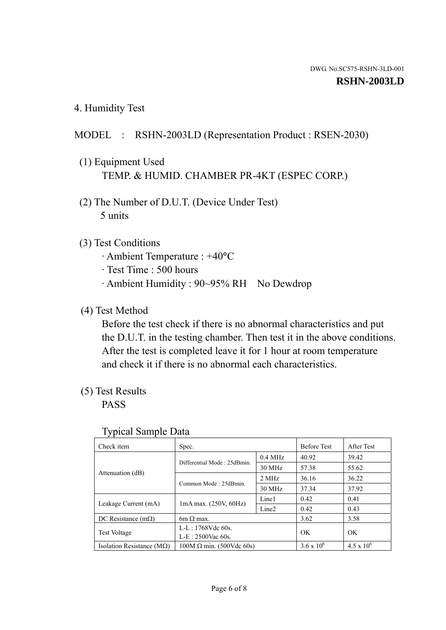4. Humidity Test

## MODEL : RSHN-2003LD (Representation Product : RSEN-2030)

- (1) Equipment Used TEMP. & HUMID. CHAMBER PR-4KT (ESPEC CORP.)
- (2) The Number of D.U.T. (Device Under Test) 5 units

## (3) Test Conditions

- · Ambient Temperature : +40°C
- · Test Time : 500 hours
- · Ambient Humidity : 90~95% RH No Dewdrop

## (4) Test Method

 Before the test check if there is no abnormal characteristics and put the D.U.T. in the testing chamber. Then test it in the above conditions. After the test is completed leave it for 1 hour at room temperature and check it if there is no abnormal each characteristics.

## (5) Test Results

PASS

| . .                                |                                 |                   |                     |                     |
|------------------------------------|---------------------------------|-------------------|---------------------|---------------------|
| Check item                         | Spec.                           |                   | <b>Before Test</b>  | After Test          |
| Attenuation (dB)                   | Differential Mode: 25dBmin.     | $0.4$ MHz         | 40.92               | 39.42               |
|                                    |                                 | 30 MHz            | 57.38               | 55.62               |
|                                    | Common Mode: 25dBmin.           | 2 MHz             | 36.16               | 36.22               |
|                                    |                                 | 30 MHz            | 37.34               | 37.92               |
| Leakage Current (mA)               | $1mA$ max. $(250V, 60Hz)$       | Line1             | 0.42                | 0.41                |
|                                    |                                 | Line <sub>2</sub> | 0.42                | 0.43                |
| DC Resistance $(m\Omega)$          | 6m $\Omega$ max.                |                   | 3.62                | 3.58                |
| <b>Test Voltage</b>                | $L-L: 1768Vdc$ 60s.             |                   | OK                  | OK                  |
|                                    | $L-E: 2500$ Vac 60s.            |                   |                     |                     |
| Isolation Resistance ( $M\Omega$ ) | $100M \Omega$ min. (500Vdc 60s) |                   | $3.6 \times 10^{6}$ | $4.5 \times 10^{6}$ |

#### Typical Sample Data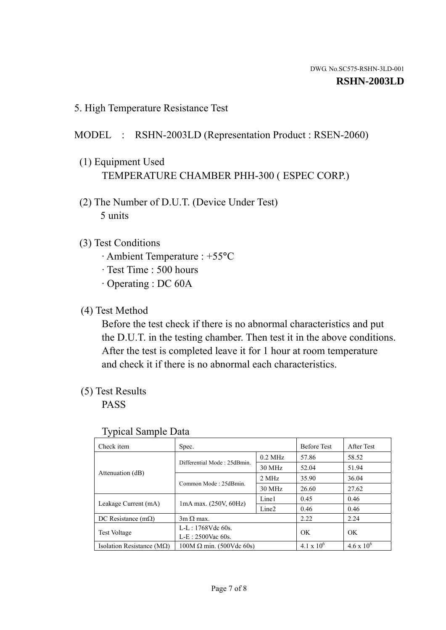5. High Temperature Resistance Test

# MODEL : RSHN-2003LD (Representation Product : RSEN-2060)

- (1) Equipment Used TEMPERATURE CHAMBER PHH-300 ( ESPEC CORP.)
- (2) The Number of D.U.T. (Device Under Test) 5 units
- (3) Test Conditions
	- · Ambient Temperature : +55°C
	- · Test Time : 500 hours
	- · Operating : DC 60A
- (4) Test Method

 Before the test check if there is no abnormal characteristics and put the D.U.T. in the testing chamber. Then test it in the above conditions. After the test is completed leave it for 1 hour at room temperature and check it if there is no abnormal each characteristics.

(5) Test Results

PASS

| J 1                                |                                 |                   |                     |                     |
|------------------------------------|---------------------------------|-------------------|---------------------|---------------------|
| Check item                         | Spec.                           |                   | <b>Before Test</b>  | After Test          |
|                                    | Differential Mode: 25dBmin.     | $0.2$ MHz         | 57.86               | 58.52               |
|                                    |                                 | 30 MHz            | 52.04               | 51.94               |
| Attenuation (dB)                   | Common Mode: 25dBmin.           | 2 MHz             | 35.90               | 36.04               |
|                                    |                                 | 30 MHz            | 26.60               | 27.62               |
| Leakage Current (mA)               | $1mA$ max. $(250V, 60Hz)$       | Line1             | 0.45                | 0.46                |
|                                    |                                 | Line <sub>2</sub> | 0.46                | 0.46                |
| DC Resistance $(m\Omega)$          | $3m \Omega$ max.                |                   | 2.22                | 2.24                |
| <b>Test Voltage</b>                | $L-L: 1768Vdc$ 60s.             |                   | OK                  | OK                  |
|                                    | $L-E: 2500$ Vac 60s.            |                   |                     |                     |
| Isolation Resistance ( $M\Omega$ ) | $100M \Omega$ min. (500Vdc 60s) |                   | $4.1 \times 10^{6}$ | $4.6 \times 10^{6}$ |

#### Typical Sample Data